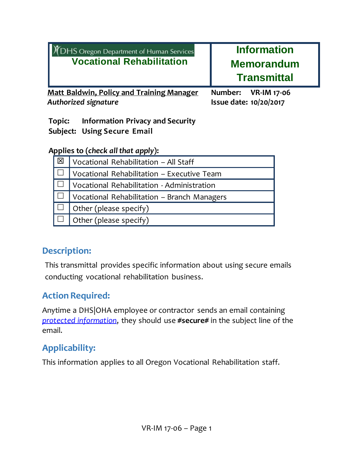| <b>Y</b> DHS Oregon Department of Human Services<br><b>Vocational Rehabilitation</b> | <b>Information</b><br><b>Memorandum</b><br><b>Transmittal</b> |
|--------------------------------------------------------------------------------------|---------------------------------------------------------------|
| <b>Matt Baldwin, Policy and Training Manager</b>                                     | Number: VR-IM 17-06                                           |
| <b>Authorized signature</b>                                                          | Issue date: 10/20/2017                                        |

**Topic: Information Privacy and Security Subject: Using Secure Email**

## Applies to (*check all that apply*):

| 図 | Vocational Rehabilitation - All Staff       |
|---|---------------------------------------------|
|   | Vocational Rehabilitation - Executive Team  |
|   | Vocational Rehabilitation - Administration  |
|   | Vocational Rehabilitation - Branch Managers |
|   | Other (please specify)                      |
|   | Other (please specify)                      |

# **Description:**

This transmittal provides specific information about using secure emails conducting vocational rehabilitation business.

# **Action Required:**

Anytime a DHS|OHA employee or contractor sends an email containing *[protected information](#page-2-0)*, they should use **#secure#** in the subject line of the email.

# **Applicability:**

This information applies to all Oregon Vocational Rehabilitation staff.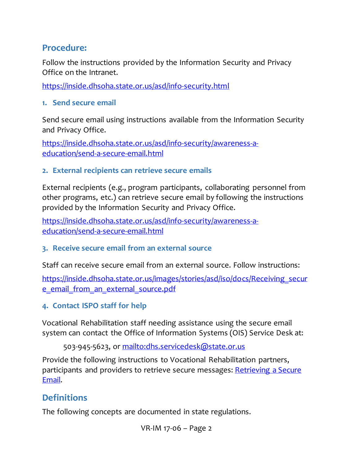## **Procedure:**

Follow the instructions provided by the Information Security and Privacy Office on the Intranet.

<https://inside.dhsoha.state.or.us/asd/info-security.html>

**1. Send secure email**

Send secure email using instructions available from the Information Security and Privacy Office.

[https://inside.dhsoha.state.or.us/asd/info-security/awareness-a](#page-3-0)[education/send-a-secure-email.html](#page-3-0)

### **2. External recipients can retrieve secure emails**

External recipients (e.g., program participants, collaborating personnel from other programs, etc.) can retrieve secure email by following the instructions provided by the Information Security and Privacy Office.

[https://inside.dhsoha.state.or.us/asd/info-security/awareness-a](#page-3-0)[education/send-a-secure-email.html](#page-3-0)

### **3. Receive secure email from an external source**

Staff can receive secure email from an external source. Follow instructions:

[https://inside.dhsoha.state.or.us/images/stories/asd/iso/docs/Receiving\\_secur](https://inside.dhsoha.state.or.us/images/stories/asd/iso/docs/Receiving_secure_email_from_an_external_source.pdf) [e\\_email\\_from\\_an\\_external\\_source.pdf](https://inside.dhsoha.state.or.us/images/stories/asd/iso/docs/Receiving_secure_email_from_an_external_source.pdf)

**4. Contact ISPO staff for help**

Vocational Rehabilitation staff needing assistance using the secure email system can contact the Office of Information Systems (OIS) Service Desk at:

503-945-5623, or<mailto:dhs.servicedesk@state.or.us>

Provide the following instructions to Vocational Rehabilitation partners, participants and providers to retrieve secure messages: Retrieving a Secure [Email.](https://inside.dhsoha.state.or.us/images/stories/ISPO/AE/Secure_Email/Secure_email_for_external.pdf)

## **Definitions**

The following concepts are documented in state regulations.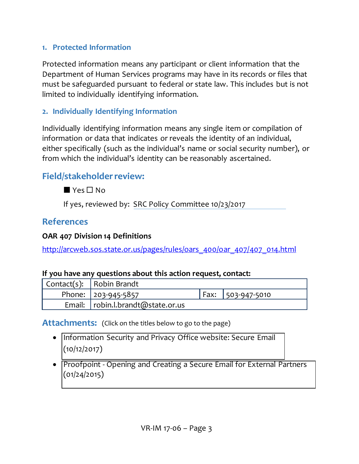### <span id="page-2-0"></span>**1. Protected Information**

Protected information means any participant or client information that the Department of Human Services programs may have in its records or files that must be safeguarded pursuant to federal or state law. This includes but is not limited to individually identifying information.

### **2. Individually Identifying Information**

Individually identifying information means any single item or compilation of information or data that indicates or reveals the identity of an individual, either specifically (such as the individual's name or social security number), or from which the individual's identity can be reasonably ascertained.

## **Field/stakeholder review:**

 $Yes \Box No$ 

If yes, reviewed by: SRC Policy Committee 10/23/2017

## **References**

### **OAR 407 Division 14 Definitions**

[http://arcweb.sos.state.or.us/pages/rules/oars\\_400/oar\\_407/407\\_014.html](http://arcweb.sos.state.or.us/pages/rules/oars_400/oar_407/407_014.html)

### **If you have any questions about this action request, contact:**

| Contact(s): $ $ Robin Brandt          |                     |
|---------------------------------------|---------------------|
| Phone: 203-945-5857                   | Fax:   503-947-5010 |
| Email: $ $ robin.l.brandt@state.or.us |                     |

Attachments: (Click on the titles below to go to the page)

- [Information Security and Privacy Office website: Secure Email](#page-3-1) (10/12/2017)
- [Proofpoint Opening and Creating a Secure Email for External Partners](#page-6-0) (01/24/2015)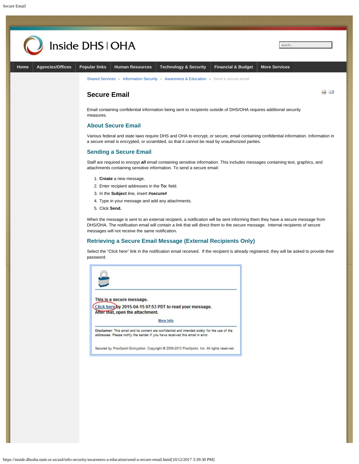<span id="page-3-1"></span><span id="page-3-0"></span>

https://inside.dhsoha.state.or.us/asd/info-security/awareness-a-education/send-a-secure-email.html[10/12/2017 3:39:30 PM]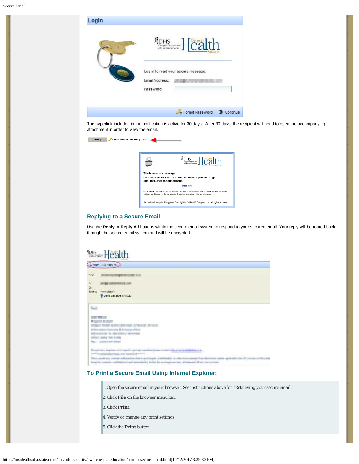I

| .ogin |                             | DHS <b>Calth</b>                    |          |
|-------|-----------------------------|-------------------------------------|----------|
|       | Email Address:<br>Password: | Log in to read your secure message. |          |
|       |                             | > Forgot Password                   | Continue |

The hyperlink included in the notification is active for 30 days. After 30 days, the recipient will need to open the accompanying attachment in order to view the email.

| SecureMessageAtt.html (16 KB)<br>Message |                                                                                                                                                                                 |
|------------------------------------------|---------------------------------------------------------------------------------------------------------------------------------------------------------------------------------|
|                                          | <b>YOHS</b><br><i>Segan Department</i> <b>Fealth</b>                                                                                                                            |
|                                          | This is a secure message.                                                                                                                                                       |
|                                          | Click here by 2015-09-18 07:18 PDT to read your message.<br>After that, open the attachment.                                                                                    |
|                                          | <b>More Info</b>                                                                                                                                                                |
|                                          | Disclaimer: This email and its content are confidential and intended solely for the use of the<br>addressee. Please notify the sender if you have received this email in error. |
|                                          | Secured by Proofpoint Encryption, Copyright @ 2009-2013 Proofpoint, Inc. All rights reserved.                                                                                   |

#### **Replying to a Secure Email**

Use the **Reply** or **Reply All** buttons within the secure email system to respond to your secured email. Your reply will be routed back through the secure email system and will be encrypted.

#### Reply & Reply All From *UNDERWORKING WAS SERVED AT LCCC.* To **Improvement** con Cc. Subject vno subject-R Digtal Signature is VALD Neil toda militar *Sales Alarm* program weapon account such congress of the content Horsette Houses & Francische agraduare al recuento divisione.<br>Anno 2013 en sono NEL DERVISE SERI In account source with apply spin  $\chi$  or play plans were  $\chi$  in a second different  $\chi$  on a starting time  $\chi$  mass  $\chi$ The continue on the referred to force printing a contraded as the cross many than declines away and official discovered boosts.<br>Early to contrib containing and arrandomy farm the average server, affectionals that conceptua

#### **To Print a Secure Email Using Internet Explorer:**

- *1. Open the secure email in your browser. See instructions above for "Retrieving your secure email."*
- *2. Click File on the browser menu bar.*
- *3. Click Print.*
- *4. Verify or change any print settings.*
- *5. Click the Print button.*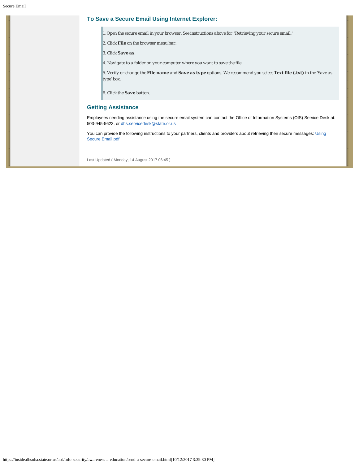#### **To Save a Secure Email Using Internet Explorer:**

*1. Open the secure email in your browser. See instructions above for "Retrieving your secure email."*

- *2. Click File on the browser menu bar.*
- *3. Click Save as.*
- *4. Navigate to a folder on your computer where you want to save the file.*

*5. Verify or change the File name and Save as type options. We recommend you select Text file (.txt) in the 'Save as type' box.*

*6. Click the Save button.*

#### **Getting Assistance**

Employees needing assistance using the secure email system can contact the Office of Information Systems (OIS) Service Desk at: 503-945-5623, or [dhs.servicedesk@state.or.us](mailto:dhs.servicedesk@state.or.us)

You can provide the following instructions to your partners, clients and providers about retrieving their secure messages: [Using](https://inside.dhsoha.state.or.us/images/stories/ISPO/AE/Secure_Email/Secure_email_for_external.pdf) [Secure Email.pdf](https://inside.dhsoha.state.or.us/images/stories/ISPO/AE/Secure_Email/Secure_email_for_external.pdf)

Last Updated ( Monday, 14 August 2017 06:45 )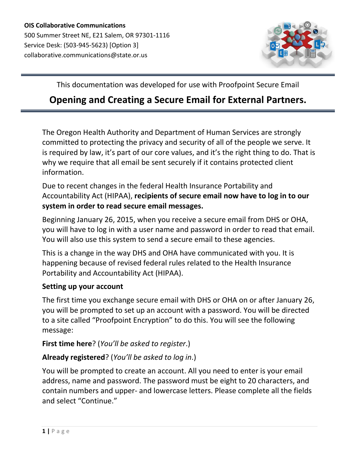

<span id="page-6-0"></span>This documentation was developed for use with Proofpoint Secure Email

# **Opening and Creating a Secure Email for External Partners.**

The Oregon Health Authority and Department of Human Services are strongly committed to protecting the privacy and security of all of the people we serve. It is required by law, it's part of our core values, and it's the right thing to do. That is why we require that all email be sent securely if it contains protected client information.

Due to recent changes in the federal Health Insurance Portability and Accountability Act (HIPAA), **recipients of secure email now have to log in to our system in order to read secure email messages.**

Beginning January 26, 2015, when you receive a secure email from DHS or OHA, you will have to log in with a user name and password in order to read that email. You will also use this system to send a secure email to these agencies.

This is a change in the way DHS and OHA have communicated with you. It is happening because of revised federal rules related to the Health Insurance Portability and Accountability Act (HIPAA).

### **Setting up your account**

The first time you exchange secure email with DHS or OHA on or after January 26, you will be prompted to set up an account with a password. You will be directed to a site called "Proofpoint Encryption" to do this. You will see the following message:

## **First time here**? (*You'll be asked to register*.)

## **Already registered**? (*You'll be asked to log in*.)

You will be prompted to create an account. All you need to enter is your email address, name and password. The password must be eight to 20 characters, and contain numbers and upper- and lowercase letters. Please complete all the fields and select "Continue."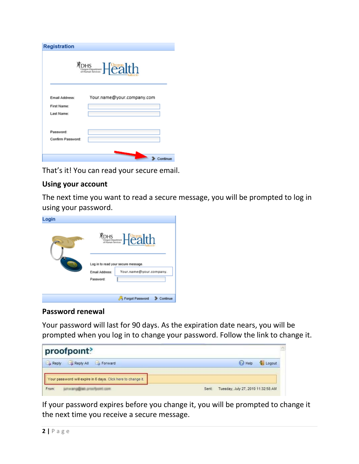| <b>Registration</b>   |                            |
|-----------------------|----------------------------|
|                       | <b>MOHS</b> Health         |
|                       |                            |
| <b>Email Address:</b> | Your.name@your.company.com |
| First Name:           |                            |
| Last Name:            |                            |
| Password:             |                            |
| Confirm Password:     |                            |
|                       |                            |
|                       |                            |

That's it! You can read your secure email.

### **Using your account**

The next time you want to read a secure message, you will be prompted to log in using your password.

| Login |                                   |                                                                                      |
|-------|-----------------------------------|--------------------------------------------------------------------------------------|
|       | <b>Email Address:</b><br>Password | <b>MOHS</b> Health<br>Log in to read your secure message.<br>Your.name@your.company. |
|       |                                   | Forgot Password<br>Continue                                                          |

### **Password renewal**

Your password will last for 90 days. As the expiration date nears, you will be prompted when you log in to change your password. Follow the link to change it.

| proofpoint?                                                   |                                             | $\mathcal{N}_\Sigma$ |
|---------------------------------------------------------------|---------------------------------------------|----------------------|
| Reply All<br><b>Eas</b> Forward<br>Reply                      | <b>P</b> Help<br>Logout                     |                      |
| Your password will expire in 6 days. Click here to change it. |                                             |                      |
| From:<br>arrow-moustings are of farming some                  | Tuesday, July 27, 2010 11:32:58 AM<br>Sent: |                      |

If your password expires before you change it, you will be prompted to change it the next time you receive a secure message.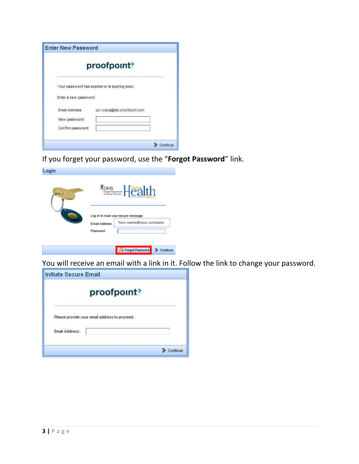|                       | proofpoint?                                    |  |
|-----------------------|------------------------------------------------|--|
|                       | Your password has expired or is expiring soon. |  |
| Enter a new password. |                                                |  |
| Email Address:        |                                                |  |
| New password:         |                                                |  |
|                       |                                                |  |

If you forget your password, use the "**Forgot Password**" link.

| Login |                | <b>Mons</b> Health                                            |
|-------|----------------|---------------------------------------------------------------|
|       | Email Address: | Log in to read your secure message.<br>Your.name@your.company |
|       | Password:      |                                                               |
|       |                |                                                               |

Forgot Password > Continue

You will receive an email with a link in it. Follow the link to change your password.

| Initiate Secure Email                         |  |
|-----------------------------------------------|--|
| proofpoint?                                   |  |
| Please provide your email address to proceed. |  |
| Email Address:                                |  |
|                                               |  |